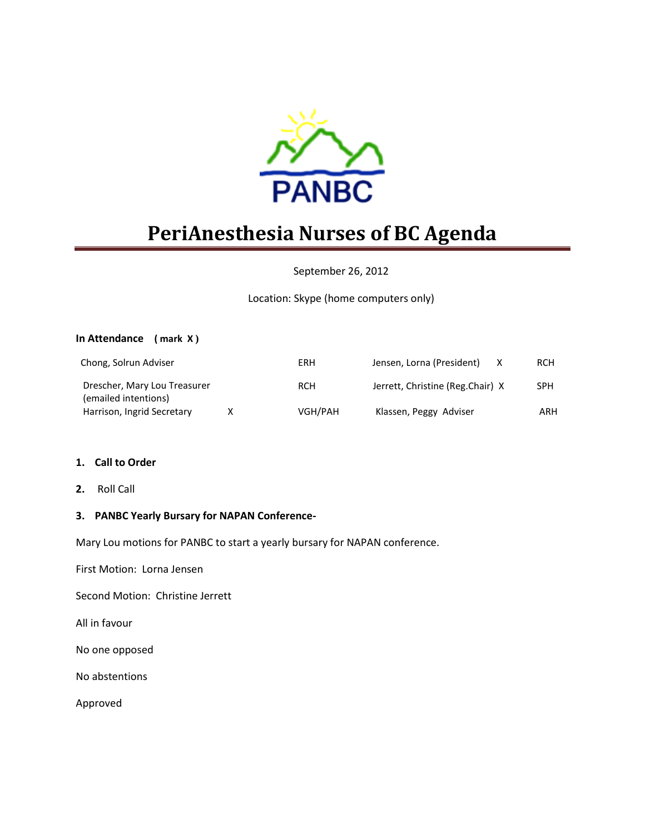

# **PeriAnesthesia Nurses of BC Agenda**

## September 26, 2012

# Location: Skype (home computers only)

#### **In Attendance ( mark X )**

| Chong, Solrun Adviser                                |   | ERH        | Jensen, Lorna (President)        | <b>RCH</b> |
|------------------------------------------------------|---|------------|----------------------------------|------------|
| Drescher, Mary Lou Treasurer<br>(emailed intentions) |   | <b>RCH</b> | Jerrett, Christine (Reg.Chair) X | <b>SPH</b> |
| Harrison, Ingrid Secretary                           | x | VGH/PAH    | Klassen, Peggy Adviser           | ARH        |

#### **1. Call to Order**

**2.** Roll Call

## **3. PANBC Yearly Bursary for NAPAN Conference-**

Mary Lou motions for PANBC to start a yearly bursary for NAPAN conference.

First Motion: Lorna Jensen

Second Motion: Christine Jerrett

All in favour

No one opposed

No abstentions

Approved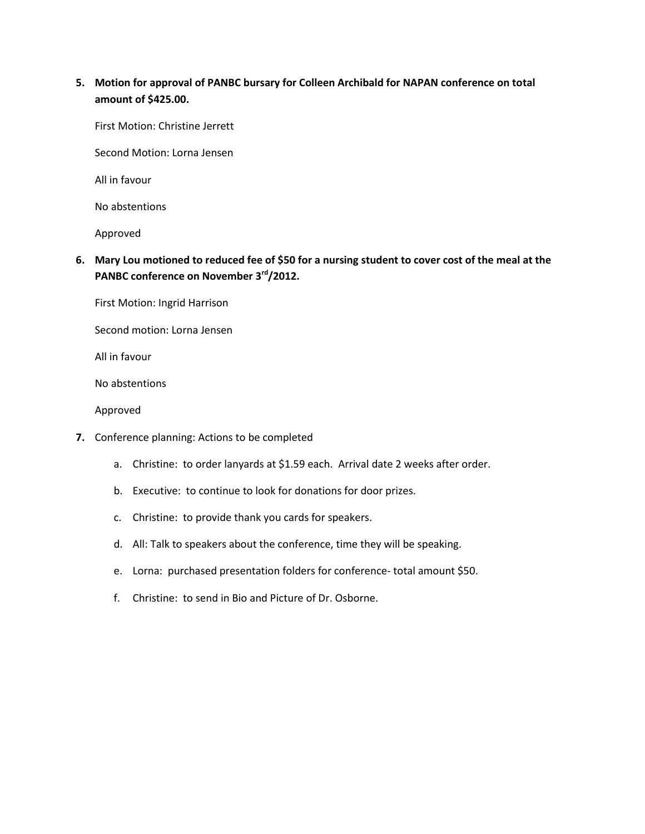# **5. Motion for approval of PANBC bursary for Colleen Archibald for NAPAN conference on total amount of \$425.00.**

First Motion: Christine Jerrett

Second Motion: Lorna Jensen

All in favour

No abstentions

Approved

**6. Mary Lou motioned to reduced fee of \$50 for a nursing student to cover cost of the meal at the PANBC conference on November 3rd/2012.**

First Motion: Ingrid Harrison

Second motion: Lorna Jensen

All in favour

No abstentions

Approved

- **7.** Conference planning: Actions to be completed
	- a. Christine: to order lanyards at \$1.59 each. Arrival date 2 weeks after order.
	- b. Executive: to continue to look for donations for door prizes.
	- c. Christine: to provide thank you cards for speakers.
	- d. All: Talk to speakers about the conference, time they will be speaking.
	- e. Lorna: purchased presentation folders for conference- total amount \$50.
	- f. Christine: to send in Bio and Picture of Dr. Osborne.